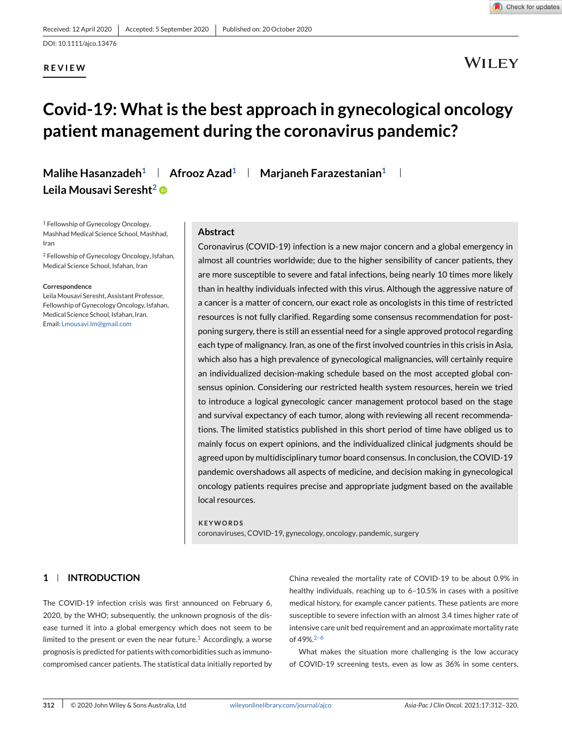### **REVIEW**



Check for updates

# **Covid-19: What is the best approach in gynecological oncology patient management during the coronavirus pandemic?**

**Malihe Hasanzadeh<sup>1</sup> | Afrooz Azad<sup>1</sup> | Marjaneh Farazestanian<sup>1</sup> | Leila Mousavi Seresht2**

<sup>1</sup> Fellowship of Gynecology Oncology, Mashhad Medical Science School, Mashhad, Iran

<sup>2</sup> Fellowship of Gynecology Oncology, Isfahan, Medical Science School, Isfahan, Iran

#### **Correspondence**

LeilaMousavi Seresht, Assistant Professor, Fellowship of Gynecology Oncology, Isfahan, Medical Science School, Isfahan, Iran. Email: [Lmousavi.lm@gmail.com](mailto:Lmousavi.lm@gmail.com)

#### **Abstract**

Coronavirus (COVID-19) infection is a new major concern and a global emergency in almost all countries worldwide; due to the higher sensibility of cancer patients, they are more susceptible to severe and fatal infections, being nearly 10 times more likely than in healthy individuals infected with this virus. Although the aggressive nature of a cancer is a matter of concern, our exact role as oncologists in this time of restricted resources is not fully clarified. Regarding some consensus recommendation for postponing surgery, there is still an essential need for a single approved protocol regarding each type of malignancy. Iran, as one of the first involved countries in this crisis in Asia, which also has a high prevalence of gynecological malignancies, will certainly require an individualized decision-making schedule based on the most accepted global consensus opinion. Considering our restricted health system resources, herein we tried to introduce a logical gynecologic cancer management protocol based on the stage and survival expectancy of each tumor, along with reviewing all recent recommendations. The limited statistics published in this short period of time have obliged us to mainly focus on expert opinions, and the individualized clinical judgments should be agreed upon by multidisciplinary tumor board consensus. In conclusion, the COVID-19 pandemic overshadows all aspects of medicine, and decision making in gynecological oncology patients requires precise and appropriate judgment based on the available local resources.

#### **KEYWORDS**

coronaviruses, COVID-19, gynecology, oncology, pandemic, surgery

#### **1 INTRODUCTION**

The COVID-19 infection crisis was first announced on February 6, 2020, by the WHO; subsequently, the unknown prognosis of the disease turned it into a global emergency which does not seem to be limited to the present or even the near future.<sup>[1](#page-7-0)</sup> Accordingly, a worse prognosis is predicted for patients with comorbidities such as immunocompromised cancer patients. The statistical data initially reported by China revealed the mortality rate of COVID-19 to be about 0.9% in healthy individuals, reaching up to 6–10.5% in cases with a positive medical history, for example cancer patients. These patients are more susceptible to severe infection with an almost 3.4 times higher rate of intensive care unit bed requirement and an approximate mortality rate of 49%.[2–6](#page-7-0)

What makes the situation more challenging is the low accuracy of COVID-19 screening tests, even as low as 36% in some centers.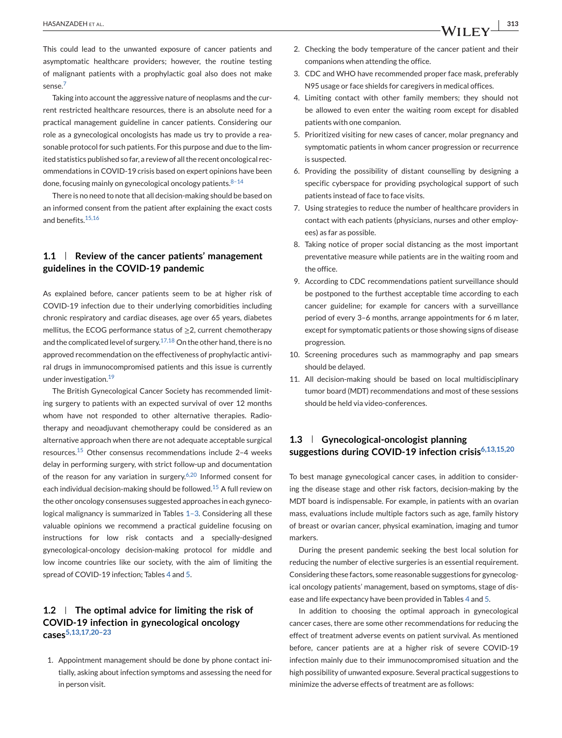This could lead to the unwanted exposure of cancer patients and asymptomatic healthcare providers; however, the routine testing of malignant patients with a prophylactic goal also does not make sense.<sup>[7](#page-7-0)</sup>

Taking into account the aggressive nature of neoplasms and the current restricted healthcare resources, there is an absolute need for a practical management guideline in cancer patients. Considering our role as a gynecological oncologists has made us try to provide a reasonable protocol for such patients. For this purpose and due to the limited statistics published so far, a review of all the recent oncological recommendations in COVID-19 crisis based on expert opinions have been done, focusing mainly on gynecological oncology patients. $8-14$ 

There is no need to note that all decision-making should be based on an informed consent from the patient after explaining the exact costs and benefits [15,16](#page-7-0)

# **1.1 Review of the cancer patients' management guidelines in the COVID-19 pandemic**

As explained before, cancer patients seem to be at higher risk of COVID-19 infection due to their underlying comorbidities including chronic respiratory and cardiac diseases, age over 65 years, diabetes mellitus, the ECOG performance status of ≥2, current chemotherapy and the complicated level of surgery.<sup>[17,18](#page-7-0)</sup> On the other hand, there is no approved recommendation on the effectiveness of prophylactic antiviral drugs in immunocompromised patients and this issue is currently under investigation.[19](#page-7-0)

The British Gynecological Cancer Society has recommended limiting surgery to patients with an expected survival of over 12 months whom have not responded to other alternative therapies. Radiotherapy and neoadjuvant chemotherapy could be considered as an alternative approach when there are not adequate acceptable surgical resources.[15](#page-7-0) Other consensus recommendations include 2–4 weeks delay in performing surgery, with strict follow-up and documentation of the reason for any variation in surgery.<sup>[6,20](#page-7-0)</sup> Informed consent for each individual decision-making should be followed.<sup>[15](#page-7-0)</sup> A full review on the other oncology consensuses suggested approaches in each gynecological malignancy is summarized in Tables [1–3.](#page-2-0) Considering all these valuable opinions we recommend a practical guideline focusing on instructions for low risk contacts and a specially-designed gynecological-oncology decision-making protocol for middle and low income countries like our society, with the aim of limiting the spread of COVID-19 infection; Tables [4](#page-5-0) and [5.](#page-6-0)

#### **1.2 The optimal advice for limiting the risk of COVID-19 infection in gynecological oncology case[s5,13,17,20–23](#page-7-0)**

1. Appointment management should be done by phone contact initially, asking about infection symptoms and assessing the need for in person visit.

- 2. Checking the body temperature of the cancer patient and their companions when attending the office.
- 3. CDC and WHO have recommended proper face mask, preferably N95 usage or face shields for caregivers in medical offices.
- 4. Limiting contact with other family members; they should not be allowed to even enter the waiting room except for disabled patients with one companion.
- 5. Prioritized visiting for new cases of cancer, molar pregnancy and symptomatic patients in whom cancer progression or recurrence is suspected.
- 6. Providing the possibility of distant counselling by designing a specific cyberspace for providing psychological support of such patients instead of face to face visits.
- 7. Using strategies to reduce the number of healthcare providers in contact with each patients (physicians, nurses and other employees) as far as possible.
- 8. Taking notice of proper social distancing as the most important preventative measure while patients are in the waiting room and the office.
- 9. According to CDC recommendations patient surveillance should be postponed to the furthest acceptable time according to each cancer guideline; for example for cancers with a surveillance period of every 3–6 months, arrange appointments for 6 m later, except for symptomatic patients or those showing signs of disease progression.
- 10. Screening procedures such as mammography and pap smears should be delayed.
- 11. All decision-making should be based on local multidisciplinary tumor board (MDT) recommendations and most of these sessions should be held via video-conferences.

## **1.3 Gynecological-oncologist planning suggestions during COVID-19 infection crisi[s6,13,15,20](#page-7-0)**

To best manage gynecological cancer cases, in addition to considering the disease stage and other risk factors, decision-making by the MDT board is indispensable. For example, in patients with an ovarian mass, evaluations include multiple factors such as age, family history of breast or ovarian cancer, physical examination, imaging and tumor markers.

During the present pandemic seeking the best local solution for reducing the number of elective surgeries is an essential requirement. Considering these factors, some reasonable suggestions for gynecological oncology patients' management, based on symptoms, stage of disease and life expectancy have been provided in Tables [4](#page-5-0) and [5.](#page-6-0)

In addition to choosing the optimal approach in gynecological cancer cases, there are some other recommendations for reducing the effect of treatment adverse events on patient survival. As mentioned before, cancer patients are at a higher risk of severe COVID-19 infection mainly due to their immunocompromised situation and the high possibility of unwanted exposure. Several practical suggestions to minimize the adverse effects of treatment are as follows: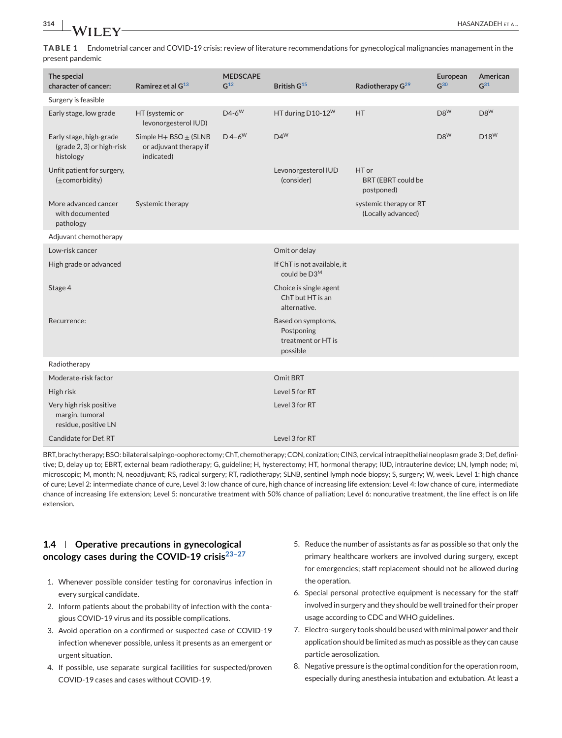**TABLE 1** Endometrial cancer and COVID-19 crisis: review of literature recommendations for gynecological malignancies management in the present pandemic

| The special                                                        |                                                                     | <b>MEDSCAPE</b>      |                                                                    |                                                  | European        | American        |
|--------------------------------------------------------------------|---------------------------------------------------------------------|----------------------|--------------------------------------------------------------------|--------------------------------------------------|-----------------|-----------------|
| character of cancer:                                               | Ramirez et al G <sup>13</sup>                                       | G <sup>12</sup>      | British G <sup>15</sup>                                            | Radiotherapy G <sup>29</sup>                     | G <sup>30</sup> | G <sup>31</sup> |
| Surgery is feasible                                                |                                                                     |                      |                                                                    |                                                  |                 |                 |
| Early stage, low grade                                             | HT (systemic or<br>levonorgesterol IUD)                             | $D4-6W$              | HT during D10-12 <sup>W</sup>                                      | <b>HT</b>                                        | $D8^{W}$        | $D8^W$          |
| Early stage, high-grade<br>(grade 2, 3) or high-risk<br>histology  | Simple $H + BSO \pm (SLNB)$<br>or adjuvant therapy if<br>indicated) | $D$ 4-6 <sup>W</sup> | $D4^W$                                                             |                                                  | $D8^W$          | $D18^W$         |
| Unfit patient for surgery,<br>$(\pm$ comorbidity)                  |                                                                     |                      | Levonorgesterol IUD<br>(consider)                                  | HT or<br><b>BRT (EBRT could be</b><br>postponed) |                 |                 |
| More advanced cancer<br>with documented<br>pathology               | Systemic therapy                                                    |                      |                                                                    | systemic therapy or RT<br>(Locally advanced)     |                 |                 |
| Adjuvant chemotherapy                                              |                                                                     |                      |                                                                    |                                                  |                 |                 |
| Low-risk cancer                                                    |                                                                     |                      | Omit or delay                                                      |                                                  |                 |                 |
| High grade or advanced                                             |                                                                     |                      | If ChT is not available, it<br>could be D3 <sup>M</sup>            |                                                  |                 |                 |
| Stage 4                                                            |                                                                     |                      | Choice is single agent<br>ChT but HT is an<br>alternative.         |                                                  |                 |                 |
| Recurrence:                                                        |                                                                     |                      | Based on symptoms,<br>Postponing<br>treatment or HT is<br>possible |                                                  |                 |                 |
| Radiotherapy                                                       |                                                                     |                      |                                                                    |                                                  |                 |                 |
| Moderate-risk factor                                               |                                                                     |                      | Omit BRT                                                           |                                                  |                 |                 |
| High risk                                                          |                                                                     |                      | Level 5 for RT                                                     |                                                  |                 |                 |
| Very high risk positive<br>margin, tumoral<br>residue, positive LN |                                                                     |                      | Level 3 for RT                                                     |                                                  |                 |                 |
| Candidate for Def. RT                                              |                                                                     |                      | Level 3 for RT                                                     |                                                  |                 |                 |

BRT, brachytherapy; BSO: bilateral salpingo-oophorectomy; ChT, chemotherapy; CON, conization; CIN3, cervical intraepithelial neoplasm grade 3; Def, definitive; D, delay up to; EBRT, external beam radiotherapy; G, guideline; H, hysterectomy; HT, hormonal therapy; IUD, intrauterine device; LN, lymph node; mi, microscopic; M, month; N, neoadjuvant; RS, radical surgery; RT, radiotherapy; SLNB, sentinel lymph node biopsy; S, surgery; W, week. Level 1: high chance of cure; Level 2: intermediate chance of cure, Level 3: low chance of cure, high chance of increasing life extension; Level 4: low chance of cure, intermediate chance of increasing life extension; Level 5: noncurative treatment with 50% chance of palliation; Level 6: noncurative treatment, the line effect is on life extension.

# **1.4 Operative precautions in gynecological oncology cases during the COVID-19 crisi[s23–27](#page-8-0)**

- 1. Whenever possible consider testing for coronavirus infection in every surgical candidate.
- 2. Inform patients about the probability of infection with the contagious COVID-19 virus and its possible complications.
- 3. Avoid operation on a confirmed or suspected case of COVID-19 infection whenever possible, unless it presents as an emergent or urgent situation.
- 4. If possible, use separate surgical facilities for suspected/proven COVID-19 cases and cases without COVID-19.
- 5. Reduce the number of assistants as far as possible so that only the primary healthcare workers are involved during surgery, except for emergencies; staff replacement should not be allowed during the operation.
- 6. Special personal protective equipment is necessary for the staff involved in surgery and they should be well trained for their proper usage according to CDC and WHO guidelines.
- 7. Electro-surgery tools should be used with minimal power and their application should be limited as much as possible as they can cause particle aerosolization.
- 8. Negative pressure is the optimal condition for the operation room, especially during anesthesia intubation and extubation. At least a

<span id="page-2-0"></span>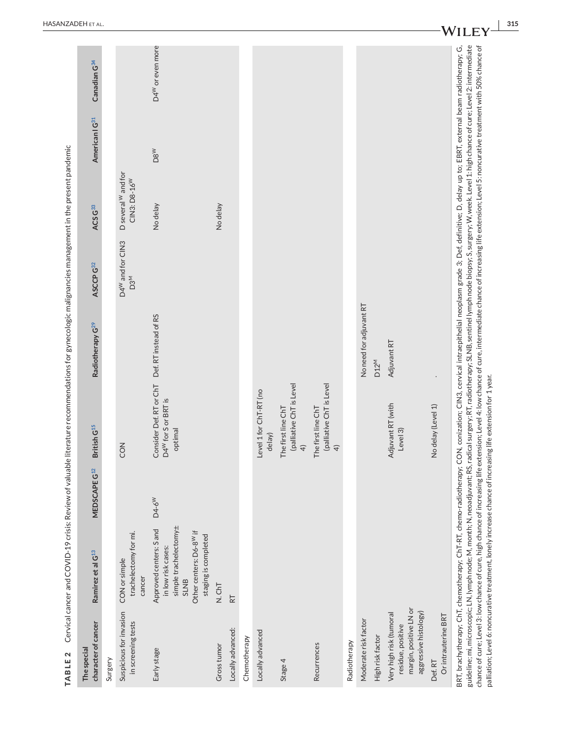| character of cancer<br>The special                                                              | Ramirez et al G <sup>13</sup>                                                                                                                                                                                                                                                                                                                                                                                                         | MEDSCAPE G <sup>12</sup> | British G <sup>15</sup>                                                                                                                                                                                                 | Radiotherapy G <sup>29</sup> | ASCCP G32                                       | ACS G33                                         | American   G <sup>31</sup> | Canadian G <sup>34</sup>     |
|-------------------------------------------------------------------------------------------------|---------------------------------------------------------------------------------------------------------------------------------------------------------------------------------------------------------------------------------------------------------------------------------------------------------------------------------------------------------------------------------------------------------------------------------------|--------------------------|-------------------------------------------------------------------------------------------------------------------------------------------------------------------------------------------------------------------------|------------------------------|-------------------------------------------------|-------------------------------------------------|----------------------------|------------------------------|
| Surgery                                                                                         |                                                                                                                                                                                                                                                                                                                                                                                                                                       |                          |                                                                                                                                                                                                                         |                              |                                                 |                                                 |                            |                              |
| Suspicious for invasion<br>in screening tests                                                   | trachelectomy for mi.<br>CON or simple<br>cancer                                                                                                                                                                                                                                                                                                                                                                                      |                          | CON                                                                                                                                                                                                                     |                              | D4 <sup>W</sup> and for CIN3<br>D3 <sup>M</sup> | D several W and for<br>CIN3: D8-16 <sup>W</sup> |                            |                              |
| Early stage                                                                                     | simple trachelectomy±<br>Approved centers: S and<br>Other centers: D6-8 <sup>W</sup> if<br>staging is completed<br>in low risk cases:<br><b>SLNB</b>                                                                                                                                                                                                                                                                                  | D4-6 <sup>W</sup>        | Consider Def. RT or ChT Def. RT instead of RS<br>D4 <sup>W</sup> for Sor BRT is<br>optimal                                                                                                                              |                              |                                                 | No delay                                        | DSW                        | D4 <sup>W</sup> or even more |
| Gross tumor                                                                                     | N.ChT                                                                                                                                                                                                                                                                                                                                                                                                                                 |                          |                                                                                                                                                                                                                         |                              |                                                 | No delay                                        |                            |                              |
| Locally advanced:                                                                               | $\overline{R}$                                                                                                                                                                                                                                                                                                                                                                                                                        |                          |                                                                                                                                                                                                                         |                              |                                                 |                                                 |                            |                              |
| Chemotherapy                                                                                    |                                                                                                                                                                                                                                                                                                                                                                                                                                       |                          |                                                                                                                                                                                                                         |                              |                                                 |                                                 |                            |                              |
| Locally advanced                                                                                |                                                                                                                                                                                                                                                                                                                                                                                                                                       |                          | Level 1 for ChT-RT (no<br>delay)                                                                                                                                                                                        |                              |                                                 |                                                 |                            |                              |
| Stage 4                                                                                         |                                                                                                                                                                                                                                                                                                                                                                                                                                       |                          | (palliative ChT is Level<br>The first line ChT<br>$\widehat{+}$                                                                                                                                                         |                              |                                                 |                                                 |                            |                              |
| Recurrences                                                                                     |                                                                                                                                                                                                                                                                                                                                                                                                                                       |                          | (palliative ChT is Level<br>The first line ChT<br>$\widehat{+}$                                                                                                                                                         |                              |                                                 |                                                 |                            |                              |
| Radiotherapy                                                                                    |                                                                                                                                                                                                                                                                                                                                                                                                                                       |                          |                                                                                                                                                                                                                         |                              |                                                 |                                                 |                            |                              |
| Moderate risk factor                                                                            |                                                                                                                                                                                                                                                                                                                                                                                                                                       |                          |                                                                                                                                                                                                                         | No need for adjuvant RT      |                                                 |                                                 |                            |                              |
| High risk factor                                                                                |                                                                                                                                                                                                                                                                                                                                                                                                                                       |                          |                                                                                                                                                                                                                         | D <sub>12</sub> <sup>M</sup> |                                                 |                                                 |                            |                              |
| margin, positive LN or<br>aggressive histology)<br>Very high risk (tumoral<br>residue, positive |                                                                                                                                                                                                                                                                                                                                                                                                                                       |                          | Adjuvant RT (with<br>Level 3)                                                                                                                                                                                           | Adjuvant RT                  |                                                 |                                                 |                            |                              |
| Or intrauterine BRT<br>Def.RT                                                                   |                                                                                                                                                                                                                                                                                                                                                                                                                                       |                          | No delay (Level 1)                                                                                                                                                                                                      |                              |                                                 |                                                 |                            |                              |
|                                                                                                 | BRT, brachytherapy; ChT, chemotherapy; ChT-RT, chemo-radiotherapy; CON, conization; CIN3, cervical intraepithelial neoplasm grade 3; Def, definitive; D, delay up to; EBRT, external beam radiotherapy; G,<br>guideline; mi, microscopic; LN, lymph node; M, month; N, neoadjuvant; RS, radical surgery; RT, radiotherapy; SLNB, sentinel lymph node biopsy; S, surgery; W, week. Level 1: high chance of cure; Level 2: intermediate |                          | chance of cure; Level 3: low chance of cure, high chance of increasing life extension; Level 4: low chance of cure, intermediate chance of increasing life extension; Level 5: noncurative treatment with 50% chance of |                              |                                                 |                                                 |                            |                              |

HASANZADEH ET AL

palliation; Level 6: noncurative treatment, lonely increase chance of increasing life extension for 1 year.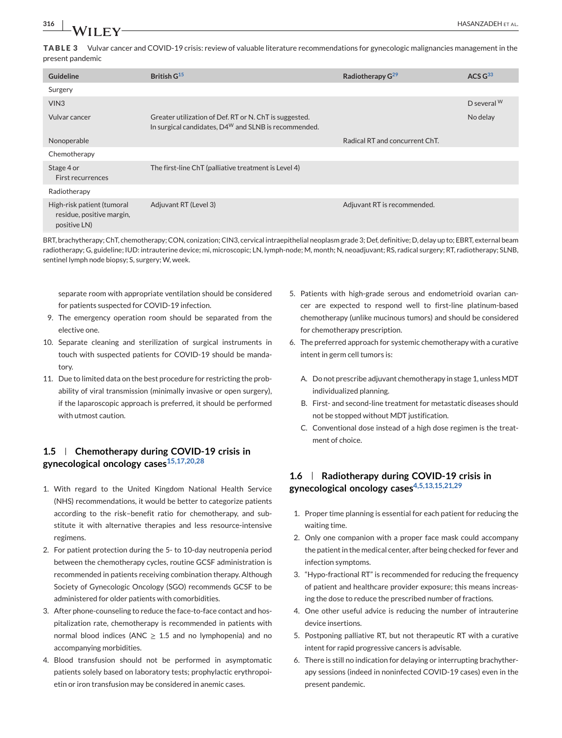**TABLE 3** Vulvar cancer and COVID-19 crisis: review of valuable literature recommendations for gynecologic malignancies management in the present pandemic

| Guideline                                                               | British G <sup>15</sup>                                                                                             | Radiotherapy G <sup>29</sup>   | ACS G <sup>33</sup> |
|-------------------------------------------------------------------------|---------------------------------------------------------------------------------------------------------------------|--------------------------------|---------------------|
| Surgery                                                                 |                                                                                                                     |                                |                     |
| VIN <sub>3</sub>                                                        |                                                                                                                     |                                | D several W         |
| Vulvar cancer                                                           | Greater utilization of Def. RT or N. ChT is suggested.<br>In surgical candidates, $D4^{W}$ and SLNB is recommended. |                                | No delay            |
| Nonoperable                                                             |                                                                                                                     | Radical RT and concurrent ChT. |                     |
| Chemotherapy                                                            |                                                                                                                     |                                |                     |
| Stage 4 or<br>First recurrences                                         | The first-line ChT (palliative treatment is Level 4)                                                                |                                |                     |
| Radiotherapy                                                            |                                                                                                                     |                                |                     |
| High-risk patient (tumoral<br>residue, positive margin,<br>positive LN) | Adjuvant RT (Level 3)                                                                                               | Adjuvant RT is recommended.    |                     |

BRT, brachytherapy; ChT, chemotherapy; CON, conization; CIN3, cervical intraepithelial neoplasm grade 3; Def, definitive; D, delay up to; EBRT, external beam radiotherapy; G, guideline; IUD: intrauterine device; mi, microscopic; LN, lymph-node; M, month; N, neoadjuvant; RS, radical surgery; RT, radiotherapy; SLNB, sentinel lymph node biopsy; S, surgery; W, week.

separate room with appropriate ventilation should be considered for patients suspected for COVID-19 infection.

- 9. The emergency operation room should be separated from the elective one.
- 10. Separate cleaning and sterilization of surgical instruments in touch with suspected patients for COVID-19 should be mandatory.
- 11. Due to limited data on the best procedure for restricting the probability of viral transmission (minimally invasive or open surgery), if the laparoscopic approach is preferred, it should be performed with utmost caution.

### **1.5 Chemotherapy during COVID-19 crisis in gynecological oncology case[s15,17,20,28](#page-7-0)**

- 1. With regard to the United Kingdom National Health Service (NHS) recommendations, it would be better to categorize patients according to the risk–benefit ratio for chemotherapy, and substitute it with alternative therapies and less resource-intensive regimens.
- 2. For patient protection during the 5- to 10-day neutropenia period between the chemotherapy cycles, routine GCSF administration is recommended in patients receiving combination therapy. Although Society of Gynecologic Oncology (SGO) recommends GCSF to be administered for older patients with comorbidities.
- 3. After phone-counseling to reduce the face-to-face contact and hospitalization rate, chemotherapy is recommended in patients with normal blood indices (ANC  $\geq$  1.5 and no lymphopenia) and no accompanying morbidities.
- 4. Blood transfusion should not be performed in asymptomatic patients solely based on laboratory tests; prophylactic erythropoietin or iron transfusion may be considered in anemic cases.
- 5. Patients with high-grade serous and endometrioid ovarian cancer are expected to respond well to first-line platinum-based chemotherapy (unlike mucinous tumors) and should be considered for chemotherapy prescription.
- 6. The preferred approach for systemic chemotherapy with a curative intent in germ cell tumors is:
	- A. Do not prescribe adjuvant chemotherapy in stage 1, unless MDT individualized planning.
	- B. First- and second-line treatment for metastatic diseases should not be stopped without MDT justification.
	- C. Conventional dose instead of a high dose regimen is the treatment of choice.

# **1.6 Radiotherapy during COVID-19 crisis in gynecological oncology case[s4,5,13,15,21,29](#page-7-0)**

- 1. Proper time planning is essential for each patient for reducing the waiting time.
- 2. Only one companion with a proper face mask could accompany the patient in the medical center, after being checked for fever and infection symptoms.
- 3. "Hypo-fractional RT" is recommended for reducing the frequency of patient and healthcare provider exposure; this means increasing the dose to reduce the prescribed number of fractions.
- 4. One other useful advice is reducing the number of intrauterine device insertions.
- 5. Postponing palliative RT, but not therapeutic RT with a curative intent for rapid progressive cancers is advisable.
- 6. There is still no indication for delaying or interrupting brachytherapy sessions (indeed in noninfected COVID-19 cases) even in the present pandemic.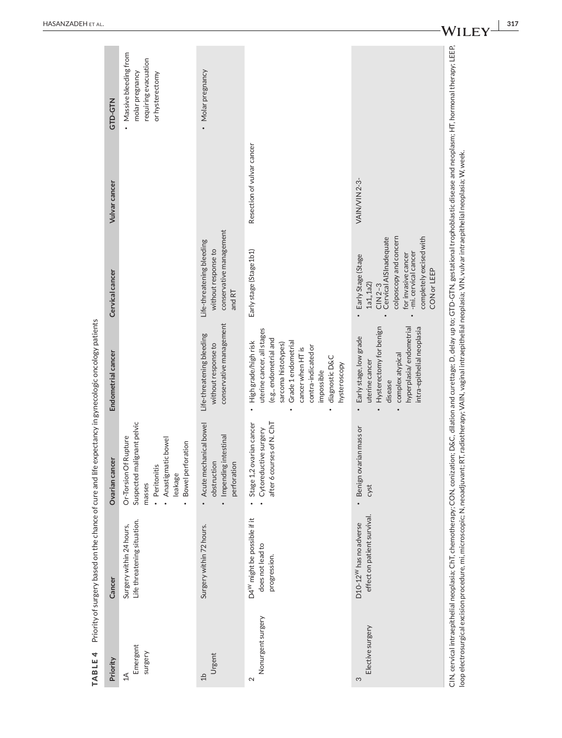<span id="page-5-0"></span>

| GTD-GTN               | • Massive bleeding from<br>requiring evacuation<br>molar pregnancy<br>or hysterectomy                                                  | · Molar pregnancy                                                                    |                                                                                                                                                                                                                        |                                                                                                                                                                                          |
|-----------------------|----------------------------------------------------------------------------------------------------------------------------------------|--------------------------------------------------------------------------------------|------------------------------------------------------------------------------------------------------------------------------------------------------------------------------------------------------------------------|------------------------------------------------------------------------------------------------------------------------------------------------------------------------------------------|
| Vulvar cancer         |                                                                                                                                        |                                                                                      | Resection of vulvar cancer                                                                                                                                                                                             | <b>VAIN/VIN 2-3-</b>                                                                                                                                                                     |
| Cervical cancer       |                                                                                                                                        | conservative management<br>Life-threatening bleeding<br>without response to<br>andRT | Early stage (Stage 1b1)                                                                                                                                                                                                | colposcopy and concern<br>Cervical AISInadequate<br>completely excised with<br>-mi. cervical cancer<br>for invasive cancer<br>Early Stage (Stage<br>CON or LEEP<br>1a1, 1a2<br>$CIN 2-3$ |
| Endometrial cancer    |                                                                                                                                        | conservative management<br>Life-threatening bleeding<br>without response to          | uterine cancer, all stages<br>(e.g., endometrial and<br>Grade 1 endometrial<br>High grade/high risk<br>sarcoma histotypes)<br>contra-indicated or<br>cancer when HT is<br>diagnostic D&C<br>hysteroscopy<br>impossible | hyperplasia/endometrial<br>Hysterectomy for benign<br>intra-epithelial neoplasia<br>Early stage, low grade<br>complex atypical<br>uterine cancer<br>disease                              |
| <b>Ovarian cancer</b> | Suspected malignant pelvic<br>Or-Torsion Of Rupture<br>· Anastigmatic bowel<br>Bowel perforation<br>· Peritonitis<br>leakage<br>masses | Acute mechanical bowel<br>Impending intestinal<br>obstruction<br>perforation         | after 6 courses of N. ChT<br>Stage 1,2 ovarian cancer<br>Cytoreductive surgery                                                                                                                                         | Benign ovarian mass or<br>cyst                                                                                                                                                           |
| Cancer                | Life threatening situation.<br>Surgery within 24 hours,                                                                                | Surgery within 72 hours.                                                             | D4 <sup>W</sup> might be possible if it<br>does not lead to<br>progression.                                                                                                                                            | effect on patient survival.<br>D10-12 <sup>W</sup> has no adverse                                                                                                                        |
| Priority              | Emergent<br>surgery<br>$\triangleq$                                                                                                    | Urgent<br>$d\Gamma$                                                                  | Nonurgent surgery<br>2                                                                                                                                                                                                 | Elective surgery<br>S                                                                                                                                                                    |

TABLE 4 Priority of surgery based on the chance of cure and life expectancy in gynecologic oncology patients **TABLE 4** Priority of surgery based on the chance of cure and life expectancy in gynecologic oncology patients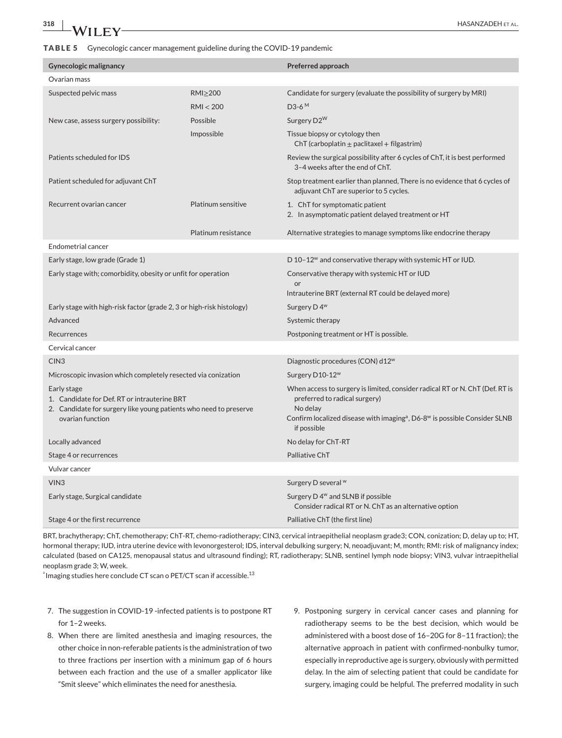<span id="page-6-0"></span>

| <b>Gynecologic malignancy</b>                                                                                                                        |                    | Preferred approach                                                                                                                                                                                                                            |  |  |
|------------------------------------------------------------------------------------------------------------------------------------------------------|--------------------|-----------------------------------------------------------------------------------------------------------------------------------------------------------------------------------------------------------------------------------------------|--|--|
| Ovarian mass                                                                                                                                         |                    |                                                                                                                                                                                                                                               |  |  |
| Suspected pelvic mass                                                                                                                                | $RM$ $\geq$ 200    | Candidate for surgery (evaluate the possibility of surgery by MRI)                                                                                                                                                                            |  |  |
| RMI < 200                                                                                                                                            |                    | D <sub>3</sub> -6 <sup>M</sup>                                                                                                                                                                                                                |  |  |
| Possible<br>New case, assess surgery possibility:                                                                                                    |                    | Surgery D2 <sup>W</sup>                                                                                                                                                                                                                       |  |  |
| Impossible                                                                                                                                           |                    | Tissue biopsy or cytology then<br>ChT (carboplatin $\pm$ paclitaxel + filgastrim)                                                                                                                                                             |  |  |
| Patients scheduled for IDS                                                                                                                           |                    | Review the surgical possibility after 6 cycles of ChT, it is best performed<br>3-4 weeks after the end of ChT.                                                                                                                                |  |  |
| Patient scheduled for adjuvant ChT                                                                                                                   |                    | Stop treatment earlier than planned, There is no evidence that 6 cycles of<br>adjuvant ChT are superior to 5 cycles.                                                                                                                          |  |  |
| Recurrent ovarian cancer                                                                                                                             | Platinum sensitive | 1. ChT for symptomatic patient<br>2. In asymptomatic patient delayed treatment or HT                                                                                                                                                          |  |  |
| Platinum resistance                                                                                                                                  |                    | Alternative strategies to manage symptoms like endocrine therapy                                                                                                                                                                              |  |  |
| Endometrial cancer                                                                                                                                   |                    |                                                                                                                                                                                                                                               |  |  |
| Early stage, low grade (Grade 1)                                                                                                                     |                    | D 10-12 <sup>w</sup> and conservative therapy with systemic HT or IUD.                                                                                                                                                                        |  |  |
| Early stage with; comorbidity, obesity or unfit for operation                                                                                        |                    | Conservative therapy with systemic HT or IUD<br>or<br>Intrauterine BRT (external RT could be delayed more)                                                                                                                                    |  |  |
| Early stage with high-risk factor (grade 2, 3 or high-risk histology)                                                                                |                    | Surgery D 4 <sup>w</sup>                                                                                                                                                                                                                      |  |  |
| Advanced                                                                                                                                             |                    | Systemic therapy                                                                                                                                                                                                                              |  |  |
| Recurrences                                                                                                                                          |                    | Postponing treatment or HT is possible.                                                                                                                                                                                                       |  |  |
| Cervical cancer                                                                                                                                      |                    |                                                                                                                                                                                                                                               |  |  |
| CIN <sub>3</sub>                                                                                                                                     |                    | Diagnostic procedures (CON) d12 <sup>w</sup>                                                                                                                                                                                                  |  |  |
| Microscopic invasion which completely resected via conization                                                                                        |                    | Surgery D10-12 <sup>w</sup>                                                                                                                                                                                                                   |  |  |
| Early stage<br>1. Candidate for Def. RT or intrauterine BRT<br>2. Candidate for surgery like young patients who need to preserve<br>ovarian function |                    | When access to surgery is limited, consider radical RT or N. ChT (Def. RT is<br>preferred to radical surgery)<br>No delay<br>Confirm localized disease with imaging <sup>a</sup> , D6-8 <sup>w</sup> is possible Consider SLNB<br>if possible |  |  |
| Locally advanced                                                                                                                                     |                    | No delay for ChT-RT                                                                                                                                                                                                                           |  |  |
| Stage 4 or recurrences                                                                                                                               |                    | Palliative ChT                                                                                                                                                                                                                                |  |  |
| Vulvar cancer                                                                                                                                        |                    |                                                                                                                                                                                                                                               |  |  |
| VIN <sub>3</sub>                                                                                                                                     |                    | Surgery D several W                                                                                                                                                                                                                           |  |  |
| Early stage, Surgical candidate                                                                                                                      |                    | Surgery D 4 <sup>w</sup> and SLNB if possible<br>Consider radical RT or N. ChT as an alternative option                                                                                                                                       |  |  |
| Stage 4 or the first recurrence                                                                                                                      |                    | Palliative ChT (the first line)                                                                                                                                                                                                               |  |  |

BRT, brachytherapy; ChT, chemotherapy; ChT-RT, chemo-radiotherapy; CIN3, cervical intraepithelial neoplasm grade3; CON, conization; D, delay up to; HT, hormonal therapy; IUD, intra uterine device with levonorgesterol; IDS, interval debulking surgery; N, neoadjuvant; M, month; RMI: risk of malignancy index; calculated (based on CA125, menopausal status and ultrasound finding); RT, radiotherapy; SLNB, sentinel lymph node biopsy; VIN3, vulvar intraepithelial neoplasm grade 3; W, week.

 $^{\circ}$  Imaging studies here conclude CT scan o PET/CT scan if accessible. $^{13}$ 

- 7. The suggestion in COVID-19 -infected patients is to postpone RT for 1–2 weeks.
- 8. When there are limited anesthesia and imaging resources, the other choice in non-referable patients is the administration of two to three fractions per insertion with a minimum gap of 6 hours between each fraction and the use of a smaller applicator like "Smit sleeve" which eliminates the need for anesthesia.
- 9. Postponing surgery in cervical cancer cases and planning for radiotherapy seems to be the best decision, which would be administered with a boost dose of 16–20G for 8–11 fraction); the alternative approach in patient with confirmed-nonbulky tumor, especially in reproductive age is surgery, obviously with permitted delay. In the aim of selecting patient that could be candidate for surgery, imaging could be helpful. The preferred modality in such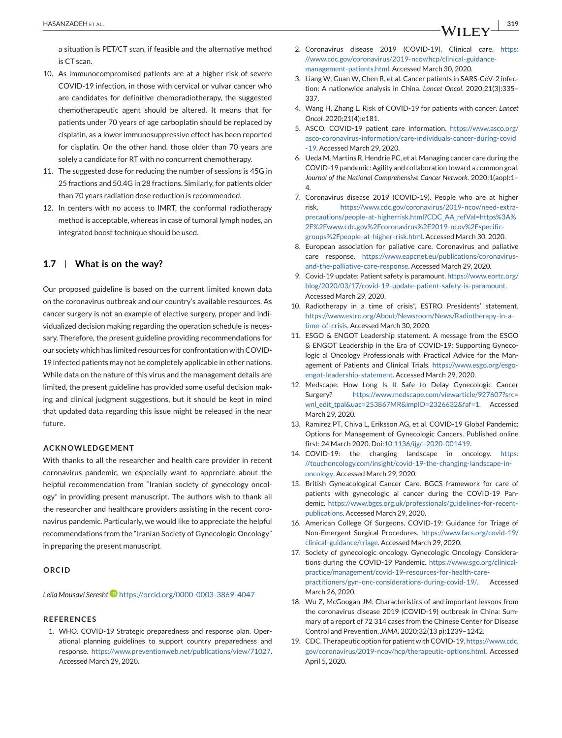<span id="page-7-0"></span>a situation is PET/CT scan, if feasible and the alternative method is CT scan.

- 10. As immunocompromised patients are at a higher risk of severe COVID-19 infection, in those with cervical or vulvar cancer who are candidates for definitive chemoradiotherapy, the suggested chemotherapeutic agent should be altered. It means that for patients under 70 years of age carboplatin should be replaced by cisplatin, as a lower immunosuppressive effect has been reported for cisplatin. On the other hand, those older than 70 years are solely a candidate for RT with no concurrent chemotherapy.
- 11. The suggested dose for reducing the number of sessions is 45G in 25 fractions and 50.4G in 28 fractions. Similarly, for patients older than 70 years radiation dose reduction is recommended.
- 12. In centers with no access to IMRT, the conformal radiotherapy method is acceptable, whereas in case of tumoral lymph nodes, an integrated boost technique should be used.

#### **1.7 What is on the way?**

Our proposed guideline is based on the current limited known data on the coronavirus outbreak and our country's available resources. As cancer surgery is not an example of elective surgery, proper and individualized decision making regarding the operation schedule is necessary. Therefore, the present guideline providing recommendations for our society which has limited resources for confrontation with COVID-19 infected patients may not be completely applicable in other nations. While data on the nature of this virus and the management details are limited, the present guideline has provided some useful decision making and clinical judgment suggestions, but it should be kept in mind that updated data regarding this issue might be released in the near future.

#### **ACKNOWLEDGEMENT**

With thanks to all the researcher and health care provider in recent coronavirus pandemic, we especially want to appreciate about the helpful recommendation from "Iranian society of gynecology oncology" in providing present manuscript. The authors wish to thank all the researcher and healthcare providers assisting in the recent coronavirus pandemic. Particularly, we would like to appreciate the helpful recommendations from the "Iranian Society of Gynecologic Oncology" in preparing the present manuscript.

#### **ORCID**

Leila Mousavi Seresht<sup>D</sup> <https://orcid.org/0000-0003-3869-4047>

#### **REFERENCES**

1. WHO. COVID-19 Strategic preparedness and response plan. Operational planning guidelines to support country preparedness and response. [https://www.preventionweb.net/publications/view/71027.](https://www.preventionweb.net/publications/view/71027) Accessed March 29, 2020.

- 2. Coronavirus disease 2019 (COVID-19). Clinical care. [https:](https://www.cdc.gov/coronavirus/2019-ncov/hcp/clinical-guidance-management-patients.html) [//www.cdc.gov/coronavirus/2019-ncov/hcp/clinical-guidance](https://www.cdc.gov/coronavirus/2019-ncov/hcp/clinical-guidance-management-patients.html)[management-patients.html.](https://www.cdc.gov/coronavirus/2019-ncov/hcp/clinical-guidance-management-patients.html) Accessed March 30, 2020.
- 3. Liang W, Guan W, Chen R, et al. Cancer patients in SARS-CoV-2 infection: A nationwide analysis in China. *Lancet Oncol*. 2020;21(3):335– 337.
- 4. Wang H, Zhang L. Risk of COVID-19 for patients with cancer. *Lancet Oncol*. 2020;21(4):e181.
- 5. ASCO. COVID-19 patient care information. [https://www.asco.org/](https://www.asco.org/asco-coronavirus-information/care-individuals-cancer-during-covid-19) [asco-coronavirus-information/care-individuals-cancer-during-covid](https://www.asco.org/asco-coronavirus-information/care-individuals-cancer-during-covid-19) [-19.](https://www.asco.org/asco-coronavirus-information/care-individuals-cancer-during-covid-19) Accessed March 29, 2020.
- 6. Ueda M, Martins R, Hendrie PC, et al. Managing cancer care during the COVID-19 pandemic: Agility and collaboration toward a common goal. *Journal of the National Comprehensive Cancer Network*. 2020;1(aop):1– 4.
- 7. Coronavirus disease 2019 (COVID-19). People who are at higher risk. [https://www.cdc.gov/coronavirus/2019-ncov/need-extra](https://www.cdc.gov/coronavirus/2019-ncov/need-extra-precautions/people-at-higherrisk.html?CDC_AA_refVal=https%3A%2F%2Fwww.cdc.gov%2Fcoronavirus%2F2019-ncov%2Fspecific-groups%2Fpeople-at-higher-risk.html)[precautions/people-at-higherrisk.html?CDC\\_AA\\_refVal=https%3A%](https://www.cdc.gov/coronavirus/2019-ncov/need-extra-precautions/people-at-higherrisk.html?CDC_AA_refVal=https%3A%2F%2Fwww.cdc.gov%2Fcoronavirus%2F2019-ncov%2Fspecific-groups%2Fpeople-at-higher-risk.html) [2F%2Fwww.cdc.gov%2Fcoronavirus%2F2019-ncov%2Fspecific](https://www.cdc.gov/coronavirus/2019-ncov/need-extra-precautions/people-at-higherrisk.html?CDC_AA_refVal=https%3A%2F%2Fwww.cdc.gov%2Fcoronavirus%2F2019-ncov%2Fspecific-groups%2Fpeople-at-higher-risk.html)[groups%2Fpeople-at-higher-risk.html.](https://www.cdc.gov/coronavirus/2019-ncov/need-extra-precautions/people-at-higherrisk.html?CDC_AA_refVal=https%3A%2F%2Fwww.cdc.gov%2Fcoronavirus%2F2019-ncov%2Fspecific-groups%2Fpeople-at-higher-risk.html) Accessed March 30, 2020.
- 8. European association for paliative care. Coronavirus and paliative care response. [https://www.eapcnet.eu/publications/coronavirus](https://www.eapcnet.eu/publications/coronavirus-and-the-palliative-care-response)[and-the-palliative-care-response.](https://www.eapcnet.eu/publications/coronavirus-and-the-palliative-care-response) Accessed March 29, 2020.
- 9. Covid-19 update: Patient safety is paramount. [https://www.eortc.org/](https://www.eortc.org/blog/2020/03/17/covid-19-update-patient-safety-is-paramount) [blog/2020/03/17/covid-19-update-patient-safety-is-paramount.](https://www.eortc.org/blog/2020/03/17/covid-19-update-patient-safety-is-paramount) Accessed March 29, 2020.
- 10. Radiotherapy in a time of crisis", ESTRO Presidents' statement. [https://www.estro.org/About/Newsroom/News/Radiotherapy-in-a](https://www.estro.org/About/Newsroom/News/Radiotherapy-in-a-time-of-crisis)[time-of-crisis.](https://www.estro.org/About/Newsroom/News/Radiotherapy-in-a-time-of-crisis) Accessed March 30, 2020.
- 11. ESGO & ENGOT Leadership statement. A message from the ESGO & ENGOT Leadership in the Era of COVID-19: Supporting Gynecologic al Oncology Professionals with Practical Advice for the Management of Patients and Clinical Trials. [https://www.esgo.org/esgo](https://www.esgo.org/esgo-engot-leadership-statement)[engot-leadership-statement.](https://www.esgo.org/esgo-engot-leadership-statement) Accessed March 29, 2020.
- 12. Medscape. How Long Is It Safe to Delay Gynecologic Cancer Surgery? [https://www.medscape.com/viewarticle/927607?src=](https://www.medscape.com/viewarticle/927607?src=wnl_edit_tpal&uac=253867MR&impID=2326632&faf=1) [wnl\\_edit\\_tpal&uac=253867MR&impID=2326632&faf=1.](https://www.medscape.com/viewarticle/927607?src=wnl_edit_tpal&uac=253867MR&impID=2326632&faf=1) Accessed March 29, 2020.
- 13. Ramirez PT, Chiva L, Eriksson AG, et al, COVID-19 Global Pandemic: Options for Management of Gynecologic Cancers. Published online first: 24 March 2020. Doi[:10.1136/ijgc-2020-001419.](https://doi.org/10.1136/ijgc-2020-001419)
- 14. COVID-19: the changing landscape in oncology. [https:](https://touchoncology.com/insight/covid-19-the-changing-landscape-in-oncology) [//touchoncology.com/insight/covid-19-the-changing-landscape-in](https://touchoncology.com/insight/covid-19-the-changing-landscape-in-oncology)[oncology.](https://touchoncology.com/insight/covid-19-the-changing-landscape-in-oncology) Accessed March 29, 2020.
- 15. British Gyneacological Cancer Care. BGCS framework for care of patients with gynecologic al cancer during the COVID-19 Pandemic. [https://www.bgcs.org.uk/professionals/guidelines-for-recent](https://www.bgcs.org.uk/professionals/guidelines-for-recent-publications)[publications.](https://www.bgcs.org.uk/professionals/guidelines-for-recent-publications) Accessed March 29, 2020.
- 16. American College Of Surgeons. COVID-19: Guidance for Triage of Non-Emergent Surgical Procedures. [https://www.facs.org/covid-19/](https://www.facs.org/covid-19/clinical-guidance/triage) [clinical-guidance/triage.](https://www.facs.org/covid-19/clinical-guidance/triage) Accessed March 29, 2020.
- 17. Society of gynecologic oncology. Gynecologic Oncology Considerations during the COVID-19 Pandemic. [https://www.sgo.org/clinical](https://www.sgo.org/clinical-practice/management/covid-19-resources-for-health-care-practitioners/gyn-onc-considerations-during-covid-19/)[practice/management/covid-19-resources-for-health-care](https://www.sgo.org/clinical-practice/management/covid-19-resources-for-health-care-practitioners/gyn-onc-considerations-during-covid-19/)[practitioners/gyn-onc-considerations-during-covid-19/.](https://www.sgo.org/clinical-practice/management/covid-19-resources-for-health-care-practitioners/gyn-onc-considerations-during-covid-19/) Accessed March 26, 2020.
- 18. Wu Z, McGoogan JM. Characteristics of and important lessons from the coronavirus disease 2019 (COVID-19) outbreak in China: Summary of a report of 72 314 cases from the Chinese Center for Disease Control and Prevention. *JAMA*. 2020;32(13 p):1239–1242.
- 19. CDC. Therapeutic option for patient with COVID-19. [https://www.cdc.](https://www.cdc.gov/coronavirus/2019-ncov/hcp/therapeutic-options.html) [gov/coronavirus/2019-ncov/hcp/therapeutic-options.html.](https://www.cdc.gov/coronavirus/2019-ncov/hcp/therapeutic-options.html) Accessed April 5, 2020.